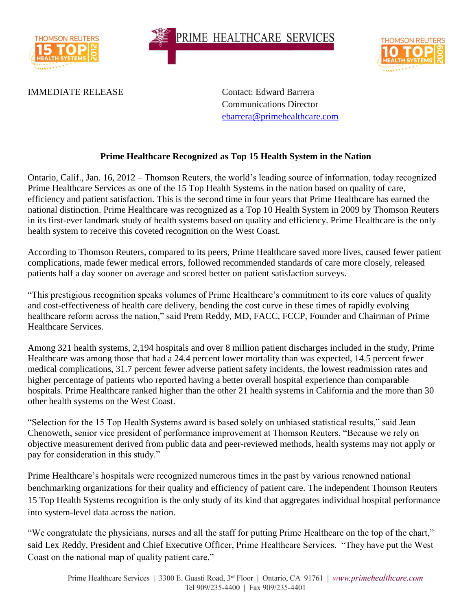

PRIME HEALTHCARE SERVICES



IMMEDIATE RELEASE Contact: Edward Barrera

Communications Director [ebarrera@primehealthcare.com](mailto:ebarrera@primehealthcare.com)

## **Prime Healthcare Recognized as Top 15 Health System in the Nation**

Ontario, Calif., Jan. 16, 2012 – Thomson Reuters, the world's leading source of information, today recognized Prime Healthcare Services as one of the 15 Top Health Systems in the nation based on quality of care, efficiency and patient satisfaction. This is the second time in four years that Prime Healthcare has earned the national distinction. Prime Healthcare was recognized as a Top 10 Health System in 2009 by Thomson Reuters in its first-ever landmark study of health systems based on quality and efficiency. Prime Healthcare is the only health system to receive this coveted recognition on the West Coast.

According to Thomson Reuters, compared to its peers, Prime Healthcare saved more lives, caused fewer patient complications, made fewer medical errors, followed recommended standards of care more closely, released patients half a day sooner on average and scored better on patient satisfaction surveys.

"This prestigious recognition speaks volumes of Prime Healthcare's commitment to its core values of quality and cost-effectiveness of health care delivery, bending the cost curve in these times of rapidly evolving healthcare reform across the nation," said Prem Reddy, MD, FACC, FCCP, Founder and Chairman of Prime Healthcare Services.

Among 321 health systems, 2,194 hospitals and over 8 million patient discharges included in the study, Prime Healthcare was among those that had a 24.4 percent lower mortality than was expected, 14.5 percent fewer medical complications, 31.7 percent fewer adverse patient safety incidents, the lowest readmission rates and higher percentage of patients who reported having a better overall hospital experience than comparable hospitals. Prime Healthcare ranked higher than the other 21 health systems in California and the more than 30 other health systems on the West Coast.

"Selection for the 15 Top Health Systems award is based solely on unbiased statistical results," said Jean Chenoweth, senior vice president of performance improvement at Thomson Reuters. "Because we rely on objective measurement derived from public data and peer-reviewed methods, health systems may not apply or pay for consideration in this study."

Prime Healthcare's hospitals were recognized numerous times in the past by various renowned national benchmarking organizations for their quality and efficiency of patient care. The independent Thomson Reuters 15 Top Health Systems recognition is the only study of its kind that aggregates individual hospital performance into system-level data across the nation.

"We congratulate the physicians, nurses and all the staff for putting Prime Healthcare on the top of the chart," said Lex Reddy, President and Chief Executive Officer, Prime Healthcare Services. "They have put the West Coast on the national map of quality patient care."